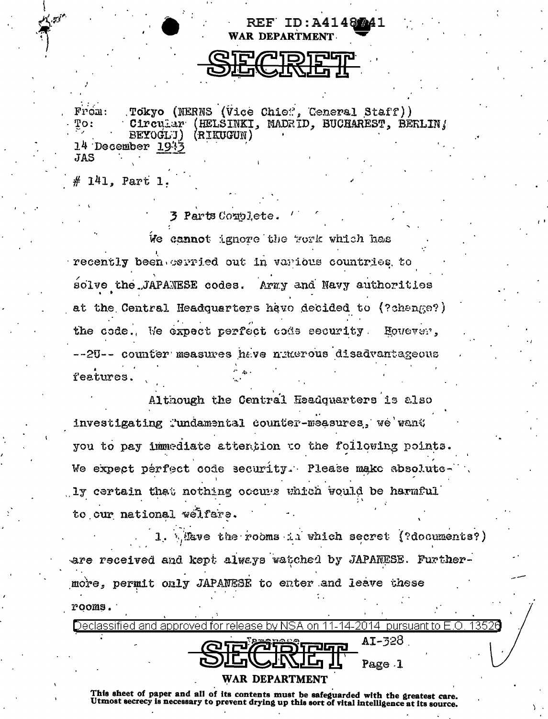**WAR DEPARTMENT** 

EF ID:A41487A1

Tokyo (NERNS (Vice Chief, Ceneral Staff)) From: Circular (HELSINKI, MADRID, BUCHAREST, BERLIN! To: (RIKUGUN) BEYOGL J)  $14$  December  $194$ **JAS** 

# 141. Part 1.

3 Parts Couplete.

We cannot ignore the work which has recently been corried out in various countries to solve the JAPANESE codes. Army and Navy authorities at the Central Headquarters have decided to (?change?) the code. We expect perfect code security However. --2U-- counter measures have numerous disadvantageous features.

Although the Central Headquarters is also investigating Tundamental counter-measures, we want you to pay immediate attention to the following points. We expect perfect code security. Please make absolute ly certain that nothing occurs which would be harmful to our national welfare.

1. Mave the rooms in which secret (?documents?) are received and kept always watched by JAPANESE. Furthermore, permit only JAPANESE to enter and leave these rooms.

|  | Declassified and approved for release by NSA on 11-14-2014 $\,$ pursuant to E.O. 1352 $0$ |                    |        |  |
|--|-------------------------------------------------------------------------------------------|--------------------|--------|--|
|  |                                                                                           | <b>@IP ATSIFUE</b> | AI-328 |  |
|  |                                                                                           | <b>DELLATE I</b>   | Page 1 |  |
|  |                                                                                           | WAR DEPARTMENT     |        |  |

This sheet of paper and all of its contents must be safeguarded with the greatest care. Utmost secrecy is necessary to prevent drying up this sort of vital intelligence at its source.